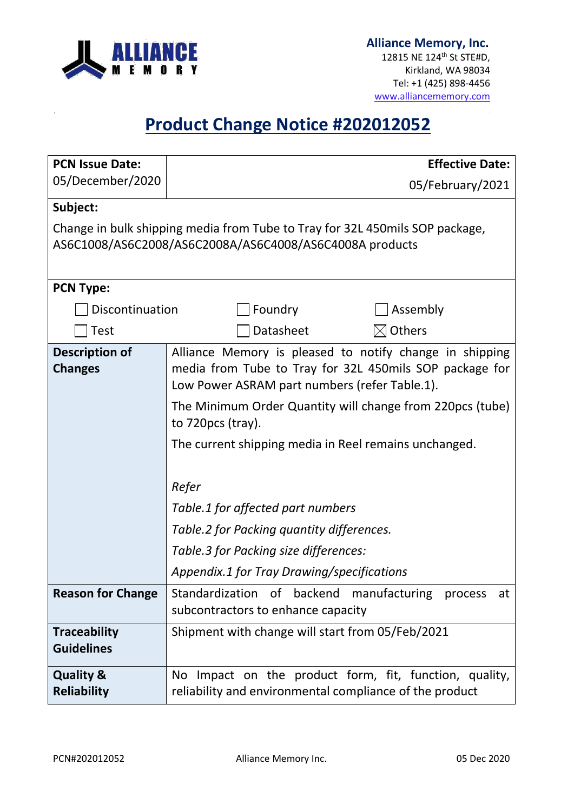

12815 NE 124th St STE#D, Kirkland, WA 98034 Tel: +1 (425) 898-4456 [www.alliancememory.com](http://www.alliancememory.com/)

# **Product Change Notice #202012052**

| <b>PCN Issue Date:</b>                                                                                                                   | <b>Effective Date:</b>                                                                                                                                                                                                                                                                                                                                                                                                                                                                           |  |  |  |  |
|------------------------------------------------------------------------------------------------------------------------------------------|--------------------------------------------------------------------------------------------------------------------------------------------------------------------------------------------------------------------------------------------------------------------------------------------------------------------------------------------------------------------------------------------------------------------------------------------------------------------------------------------------|--|--|--|--|
| 05/December/2020                                                                                                                         | 05/February/2021                                                                                                                                                                                                                                                                                                                                                                                                                                                                                 |  |  |  |  |
| Subject:                                                                                                                                 |                                                                                                                                                                                                                                                                                                                                                                                                                                                                                                  |  |  |  |  |
| Change in bulk shipping media from Tube to Tray for 32L 450 mils SOP package,<br>AS6C1008/AS6C2008/AS6C2008A/AS6C4008/AS6C4008A products |                                                                                                                                                                                                                                                                                                                                                                                                                                                                                                  |  |  |  |  |
| <b>PCN Type:</b>                                                                                                                         |                                                                                                                                                                                                                                                                                                                                                                                                                                                                                                  |  |  |  |  |
| Discontinuation                                                                                                                          | Foundry<br>Assembly                                                                                                                                                                                                                                                                                                                                                                                                                                                                              |  |  |  |  |
| <b>Test</b>                                                                                                                              | Datasheet<br>$\boxtimes$ Others                                                                                                                                                                                                                                                                                                                                                                                                                                                                  |  |  |  |  |
| <b>Description of</b><br><b>Changes</b>                                                                                                  | Alliance Memory is pleased to notify change in shipping<br>media from Tube to Tray for 32L 450mils SOP package for<br>Low Power ASRAM part numbers (refer Table.1).<br>The Minimum Order Quantity will change from 220pcs (tube)<br>to 720pcs (tray).<br>The current shipping media in Reel remains unchanged.<br>Refer<br>Table.1 for affected part numbers<br>Table.2 for Packing quantity differences.<br>Table.3 for Packing size differences:<br>Appendix.1 for Tray Drawing/specifications |  |  |  |  |
| <b>Reason for Change</b>                                                                                                                 | Standardization of backend<br>manufacturing process<br>at<br>subcontractors to enhance capacity                                                                                                                                                                                                                                                                                                                                                                                                  |  |  |  |  |
| <b>Traceability</b><br><b>Guidelines</b>                                                                                                 | Shipment with change will start from 05/Feb/2021                                                                                                                                                                                                                                                                                                                                                                                                                                                 |  |  |  |  |
| <b>Quality &amp;</b><br><b>Reliability</b>                                                                                               | No Impact on the product form, fit, function, quality,<br>reliability and environmental compliance of the product                                                                                                                                                                                                                                                                                                                                                                                |  |  |  |  |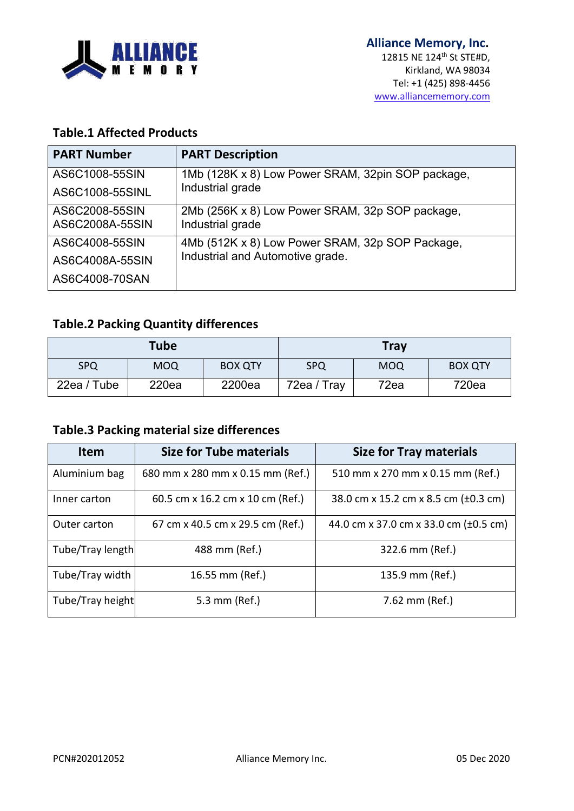

#### **Table.1 Affected Products**

| <b>PART Number</b> | <b>PART Description</b>                           |  |
|--------------------|---------------------------------------------------|--|
| AS6C1008-55SIN     | 1Mb (128K x 8) Low Power SRAM, 32pin SOP package, |  |
| AS6C1008-55SINL    | Industrial grade                                  |  |
| AS6C2008-55SIN     | 2Mb (256K x 8) Low Power SRAM, 32p SOP package,   |  |
| AS6C2008A-55SIN    | Industrial grade                                  |  |
| AS6C4008-55SIN     | 4Mb (512K x 8) Low Power SRAM, 32p SOP Package,   |  |
| AS6C4008A-55SIN    | Industrial and Automotive grade.                  |  |
| AS6C4008-70SAN     |                                                   |  |

### **Table.2 Packing Quantity differences**

| <b>Tube</b> |            |                | <b>Tray</b> |            |                |
|-------------|------------|----------------|-------------|------------|----------------|
| <b>SPQ</b>  | <b>MOQ</b> | <b>BOX QTY</b> | <b>SPQ</b>  | <b>MOQ</b> | <b>BOX QTY</b> |
| 22ea / Tube | 220ea      | 2200ea         | 72ea / Tray | 72ea       | 720ea          |

### **Table.3 Packing material size differences**

| <b>Item</b>      | <b>Size for Tube materials</b>   | <b>Size for Tray materials</b>        |  |
|------------------|----------------------------------|---------------------------------------|--|
| Aluminium bag    | 680 mm x 280 mm x 0.15 mm (Ref.) | 510 mm x 270 mm x 0.15 mm (Ref.)      |  |
| Inner carton     | 60.5 cm x 16.2 cm x 10 cm (Ref.) | 38.0 cm x 15.2 cm x 8.5 cm (±0.3 cm)  |  |
| Outer carton     | 67 cm x 40.5 cm x 29.5 cm (Ref.) | 44.0 cm x 37.0 cm x 33.0 cm (±0.5 cm) |  |
| Tube/Tray length | 488 mm (Ref.)                    | 322.6 mm (Ref.)                       |  |
| Tube/Tray width  | 16.55 mm (Ref.)                  | 135.9 mm (Ref.)                       |  |
| Tube/Tray height | 5.3 mm (Ref.)                    | 7.62 mm (Ref.)                        |  |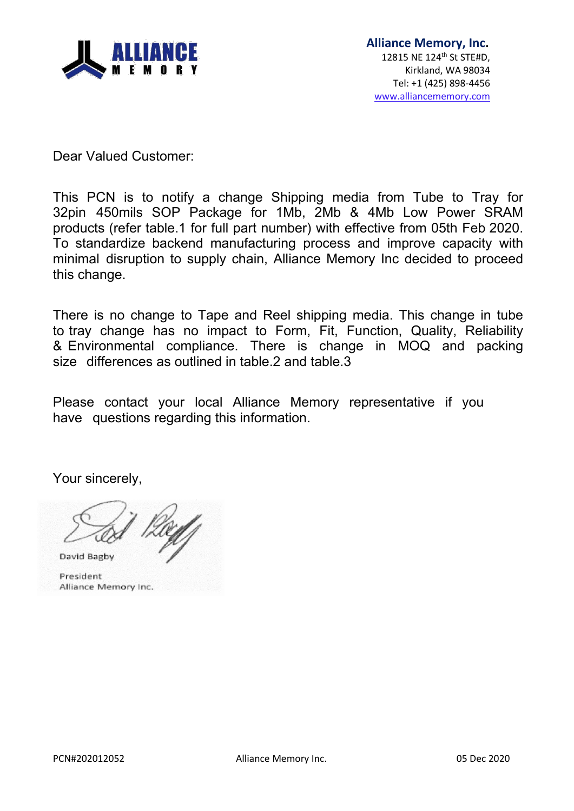

Dear Valued Customer:

This PCN is to notify a change Shipping media from Tube to Tray for 32pin 450mils SOP Package for 1Mb, 2Mb & 4Mb Low Power SRAM products (refer table.1 for full part number) with effective from 05th Feb 2020. To standardize backend manufacturing process and improve capacity with minimal disruption to supply chain, Alliance Memory Inc decided to proceed this change.

There is no change to Tape and Reel shipping media. This change in tube to tray change has no impact to Form, Fit, Function, Quality, Reliability & Environmental compliance. There is change in MOQ and packing size differences as outlined in table.2 and table.3

Please contact your local Alliance Memory representative if you have questions regarding this information.

Your sincerely,

David Bagby

President Alliance Memory Inc.